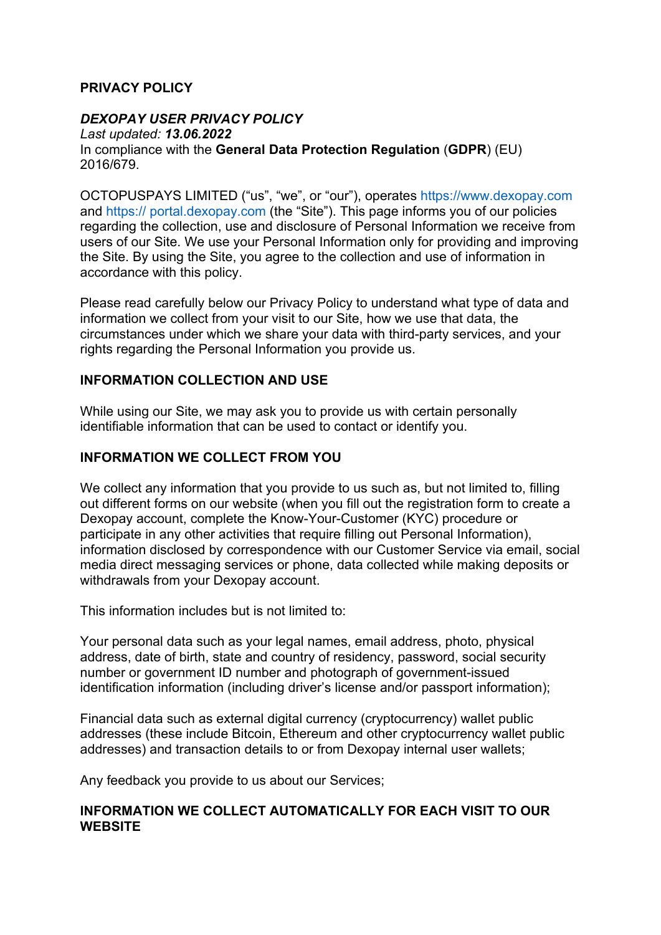### **PRIVACY POLICY**

### *DEXOPAY USER PRIVACY POLICY*

*Last updated: 13.06.2022* In compliance with the **General Data Protection Regulation** (**GDPR**) (EU) 2016/679.

OCTOPUSPAYS LIMITED ("us", "we", or "our"), operates https://www.dexopay.com and https:// portal.dexopay.com (the "Site"). This page informs you of our policies regarding the collection, use and disclosure of Personal Information we receive from users of our Site. We use your Personal Information only for providing and improving the Site. By using the Site, you agree to the collection and use of information in accordance with this policy.

Please read carefully below our Privacy Policy to understand what type of data and information we collect from your visit to our Site, how we use that data, the circumstances under which we share your data with third-party services, and your rights regarding the Personal Information you provide us.

#### **INFORMATION COLLECTION AND USE**

While using our Site, we may ask you to provide us with certain personally identifiable information that can be used to contact or identify you.

#### **INFORMATION WE COLLECT FROM YOU**

We collect any information that you provide to us such as, but not limited to, filling out different forms on our website (when you fill out the registration form to create a Dexopay account, complete the Know-Your-Customer (KYC) procedure or participate in any other activities that require filling out Personal Information), information disclosed by correspondence with our Customer Service via email, social media direct messaging services or phone, data collected while making deposits or withdrawals from your Dexopay account.

This information includes but is not limited to:

Your personal data such as your legal names, email address, photo, physical address, date of birth, state and country of residency, password, social security number or government ID number and photograph of government-issued identification information (including driver's license and/or passport information);

Financial data such as external digital currency (cryptocurrency) wallet public addresses (these include Bitcoin, Ethereum and other cryptocurrency wallet public addresses) and transaction details to or from Dexopay internal user wallets;

Any feedback you provide to us about our Services;

#### **INFORMATION WE COLLECT AUTOMATICALLY FOR EACH VISIT TO OUR WEBSITE**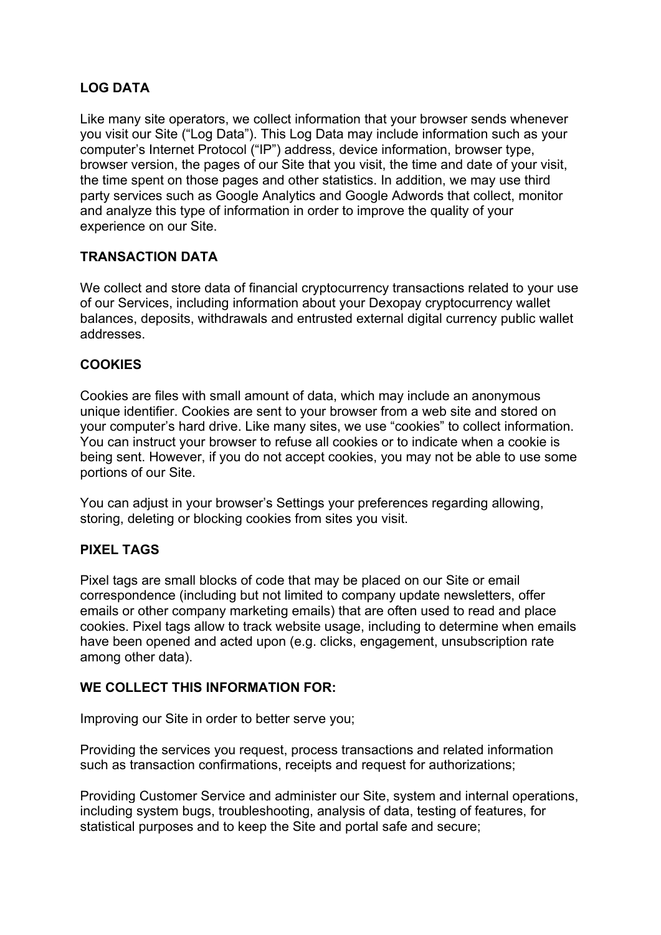# **LOG DATA**

Like many site operators, we collect information that your browser sends whenever you visit our Site ("Log Data"). This Log Data may include information such as your computer's Internet Protocol ("IP") address, device information, browser type, browser version, the pages of our Site that you visit, the time and date of your visit, the time spent on those pages and other statistics. In addition, we may use third party services such as Google Analytics and Google Adwords that collect, monitor and analyze this type of information in order to improve the quality of your experience on our Site.

# **TRANSACTION DATA**

We collect and store data of financial cryptocurrency transactions related to your use of our Services, including information about your Dexopay cryptocurrency wallet balances, deposits, withdrawals and entrusted external digital currency public wallet addresses.

# **COOKIES**

Cookies are files with small amount of data, which may include an anonymous unique identifier. Cookies are sent to your browser from a web site and stored on your computer's hard drive. Like many sites, we use "cookies" to collect information. You can instruct your browser to refuse all cookies or to indicate when a cookie is being sent. However, if you do not accept cookies, you may not be able to use some portions of our Site.

You can adjust in your browser's Settings your preferences regarding allowing, storing, deleting or blocking cookies from sites you visit.

#### **PIXEL TAGS**

Pixel tags are small blocks of code that may be placed on our Site or email correspondence (including but not limited to company update newsletters, offer emails or other company marketing emails) that are often used to read and place cookies. Pixel tags allow to track website usage, including to determine when emails have been opened and acted upon (e.g. clicks, engagement, unsubscription rate among other data).

#### **WE COLLECT THIS INFORMATION FOR:**

Improving our Site in order to better serve you;

Providing the services you request, process transactions and related information such as transaction confirmations, receipts and request for authorizations;

Providing Customer Service and administer our Site, system and internal operations, including system bugs, troubleshooting, analysis of data, testing of features, for statistical purposes and to keep the Site and portal safe and secure;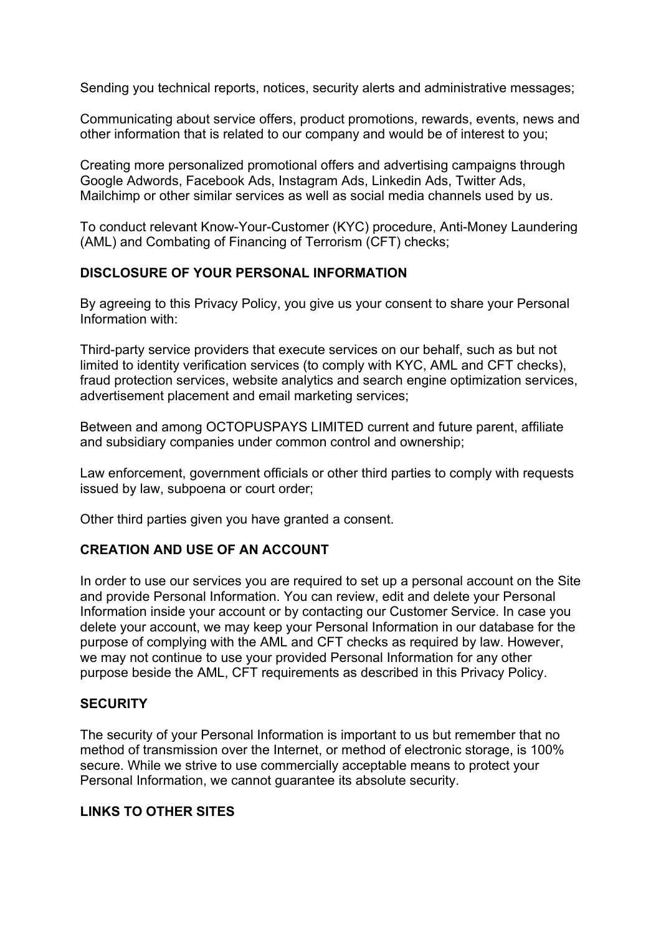Sending you technical reports, notices, security alerts and administrative messages;

Communicating about service offers, product promotions, rewards, events, news and other information that is related to our company and would be of interest to you;

Creating more personalized promotional offers and advertising campaigns through Google Adwords, Facebook Ads, Instagram Ads, Linkedin Ads, Twitter Ads, Mailchimp or other similar services as well as social media channels used by us.

To conduct relevant Know-Your-Customer (KYC) procedure, Anti-Money Laundering (AML) and Combating of Financing of Terrorism (CFT) checks;

### **DISCLOSURE OF YOUR PERSONAL INFORMATION**

By agreeing to this Privacy Policy, you give us your consent to share your Personal Information with:

Third-party service providers that execute services on our behalf, such as but not limited to identity verification services (to comply with KYC, AML and CFT checks), fraud protection services, website analytics and search engine optimization services, advertisement placement and email marketing services;

Between and among OCTOPUSPAYS LIMITED current and future parent, affiliate and subsidiary companies under common control and ownership;

Law enforcement, government officials or other third parties to comply with requests issued by law, subpoena or court order;

Other third parties given you have granted a consent.

#### **CREATION AND USE OF AN ACCOUNT**

In order to use our services you are required to set up a personal account on the Site and provide Personal Information. You can review, edit and delete your Personal Information inside your account or by contacting our Customer Service. In case you delete your account, we may keep your Personal Information in our database for the purpose of complying with the AML and CFT checks as required by law. However, we may not continue to use your provided Personal Information for any other purpose beside the AML, CFT requirements as described in this Privacy Policy.

#### **SECURITY**

The security of your Personal Information is important to us but remember that no method of transmission over the Internet, or method of electronic storage, is 100% secure. While we strive to use commercially acceptable means to protect your Personal Information, we cannot guarantee its absolute security.

# **LINKS TO OTHER SITES**